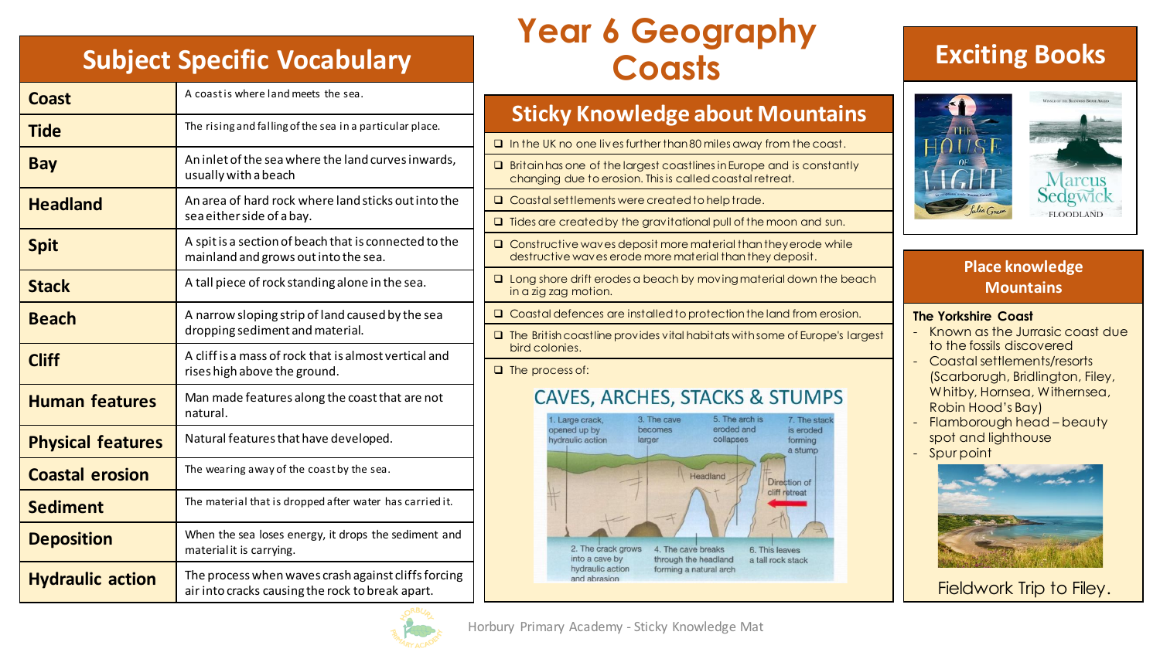# **Subject Specific Vocabulary Coasts**

| <b>Coast</b>             | A coast is where land meets the sea.                                                                    |
|--------------------------|---------------------------------------------------------------------------------------------------------|
| <b>Tide</b>              | The rising and falling of the sea in a particular place.                                                |
| <b>Bay</b>               | An inlet of the sea where the land curves inwards,<br>usually with a beach                              |
| <b>Headland</b>          | An area of hard rock where land sticks out into the<br>sea either side of a bay.                        |
| <b>Spit</b>              | A spit is a section of beach that is connected to the<br>mainland and grows out into the sea.           |
| <b>Stack</b>             | A tall piece of rock standing alone in the sea.                                                         |
| <b>Beach</b>             | A narrow sloping strip of land caused by the sea<br>dropping sediment and material.                     |
| <b>Cliff</b>             | A cliff is a mass of rock that is almost vertical and<br>rises high above the ground.                   |
| <b>Human features</b>    | Man made features along the coast that are not<br>natural.                                              |
| <b>Physical features</b> | Natural features that have developed.                                                                   |
| <b>Coastal erosion</b>   | The wearing away of the coast by the sea.                                                               |
| <b>Sediment</b>          | The material that is dropped after water has carried it.                                                |
| <b>Deposition</b>        | When the sea loses energy, it drops the sediment and<br>material it is carrying.                        |
| <b>Hydraulic action</b>  | The process when waves crash against cliffs forcing<br>air into cracks causing the rock to break apart. |

# **Year 6 Geography**

#### **Sticky Knowledge about Mountains** ❑ In the UK no one lives further than 80 miles away from the coast. ❑ Britain has one of the largest coastlines in Europe and is constantly changing due to erosion. This is called coastal retreat. ❑ Coastal settlements were created to help trade. ❑ Tides are created by the gravitational pull of the moon and sun. ❑ Constructive waves deposit more material than they erode while destructive waves erode more material than they deposit.

- ❑ Long shore drift erodes a beach by moving material down the beach in a zig zag motion.
- ❑ Coastal defences are installed to protection the land from erosion.
- ❑ The British coastline provides vital habitats with some of Europe's largest bird colonies.

❑ The process of:

#### **CAVES, ARCHES, STACKS & STUMPS**



### **Exciting Books**



#### **Place knowledge Mountains**

#### **The Yorkshire Coast**

- Known as the Jurrasic coast due to the fossils discovered
- Coastal settlements/resorts (Scarborugh, Bridlington, Filey, Whitby, Hornsea, Withernsea, Robin Hood's Bay)
- Flamborough head beauty spot and lighthouse
- Spur point



Fieldwork Trip to Filey.